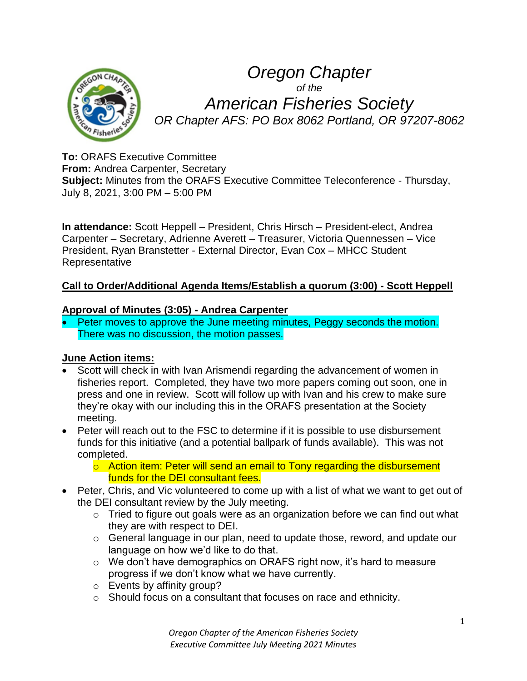

*Oregon Chapter of the American Fisheries Society OR Chapter AFS: PO Box 8062 Portland, OR 97207-8062*

**To:** ORAFS Executive Committee **From:** Andrea Carpenter, Secretary **Subject:** Minutes from the ORAFS Executive Committee Teleconference - Thursday, July 8, 2021, 3:00 PM – 5:00 PM

**In attendance:** Scott Heppell – President, Chris Hirsch – President-elect, Andrea Carpenter – Secretary, Adrienne Averett – Treasurer, Victoria Quennessen – Vice President, Ryan Branstetter - External Director, Evan Cox – MHCC Student Representative

## **Call to Order/Additional Agenda Items/Establish a quorum (3:00) - Scott Heppell**

#### **Approval of Minutes (3:05) - Andrea Carpenter**

• Peter moves to approve the June meeting minutes, Peggy seconds the motion. There was no discussion, the motion passes.

#### **June Action items:**

- Scott will check in with Ivan Arismendi regarding the advancement of women in fisheries report. Completed, they have two more papers coming out soon, one in press and one in review. Scott will follow up with Ivan and his crew to make sure they're okay with our including this in the ORAFS presentation at the Society meeting.
- Peter will reach out to the FSC to determine if it is possible to use disbursement funds for this initiative (and a potential ballpark of funds available). This was not completed.
	- o Action item: Peter will send an email to Tony regarding the disbursement funds for the DEI consultant fees.
- Peter, Chris, and Vic volunteered to come up with a list of what we want to get out of the DEI consultant review by the July meeting.
	- $\circ$  Tried to figure out goals were as an organization before we can find out what they are with respect to DEI.
	- o General language in our plan, need to update those, reword, and update our language on how we'd like to do that.
	- $\circ$  We don't have demographics on ORAFS right now, it's hard to measure progress if we don't know what we have currently.
	- o Events by affinity group?
	- o Should focus on a consultant that focuses on race and ethnicity.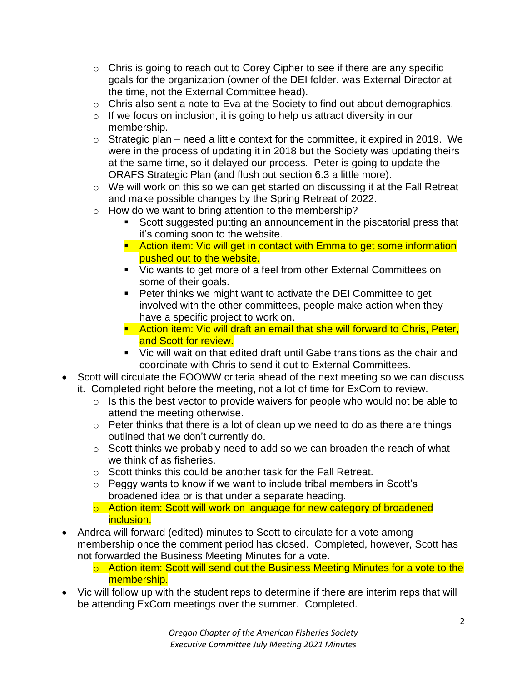- $\circ$  Chris is going to reach out to Corey Cipher to see if there are any specific goals for the organization (owner of the DEI folder, was External Director at the time, not the External Committee head).
- o Chris also sent a note to Eva at the Society to find out about demographics.
- $\circ$  If we focus on inclusion, it is going to help us attract diversity in our membership.
- $\circ$  Strategic plan need a little context for the committee, it expired in 2019. We were in the process of updating it in 2018 but the Society was updating theirs at the same time, so it delayed our process. Peter is going to update the ORAFS Strategic Plan (and flush out section 6.3 a little more).
- o We will work on this so we can get started on discussing it at the Fall Retreat and make possible changes by the Spring Retreat of 2022.
- o How do we want to bring attention to the membership?
	- Scott suggested putting an announcement in the piscatorial press that it's coming soon to the website.
	- **E** Action item: Vic will get in contact with Emma to get some information pushed out to the website.
	- Vic wants to get more of a feel from other External Committees on some of their goals.
	- Peter thinks we might want to activate the DEI Committee to get involved with the other committees, people make action when they have a specific project to work on.
	- **E** Action item: Vic will draft an email that she will forward to Chris, Peter, and Scott for review.
	- Vic will wait on that edited draft until Gabe transitions as the chair and coordinate with Chris to send it out to External Committees.
- Scott will circulate the FOOWW criteria ahead of the next meeting so we can discuss it. Completed right before the meeting, not a lot of time for ExCom to review.
	- $\circ$  Is this the best vector to provide waivers for people who would not be able to attend the meeting otherwise.
	- $\circ$  Peter thinks that there is a lot of clean up we need to do as there are things outlined that we don't currently do.
	- $\circ$  Scott thinks we probably need to add so we can broaden the reach of what we think of as fisheries.
	- o Scott thinks this could be another task for the Fall Retreat.
	- o Peggy wants to know if we want to include tribal members in Scott's broadened idea or is that under a separate heading.
	- o Action item: Scott will work on language for new category of broadened inclusion.
- Andrea will forward (edited) minutes to Scott to circulate for a vote among membership once the comment period has closed. Completed, however, Scott has not forwarded the Business Meeting Minutes for a vote.
	- $\circ$  Action item: Scott will send out the Business Meeting Minutes for a vote to the membership.
- Vic will follow up with the student reps to determine if there are interim reps that will be attending ExCom meetings over the summer. Completed.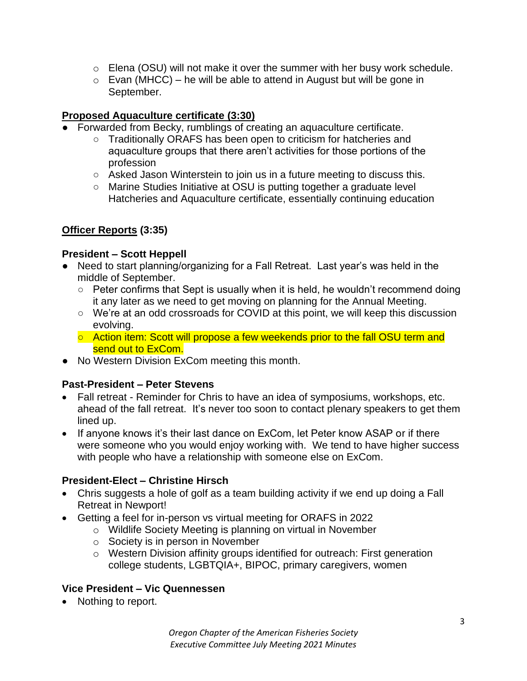- $\circ$  Elena (OSU) will not make it over the summer with her busy work schedule.
- $\circ$  Evan (MHCC) he will be able to attend in August but will be gone in September.

## **Proposed Aquaculture certificate (3:30)**

- Forwarded from Becky, rumblings of creating an aquaculture certificate.
	- Traditionally ORAFS has been open to criticism for hatcheries and aquaculture groups that there aren't activities for those portions of the profession
	- Asked Jason Winterstein to join us in a future meeting to discuss this.
	- Marine Studies Initiative at OSU is putting together a graduate level Hatcheries and Aquaculture certificate, essentially continuing education

## **Officer Reports (3:35)**

## **President – Scott Heppell**

- Need to start planning/organizing for a Fall Retreat. Last year's was held in the middle of September.
	- Peter confirms that Sept is usually when it is held, he wouldn't recommend doing it any later as we need to get moving on planning for the Annual Meeting.
	- We're at an odd crossroads for COVID at this point, we will keep this discussion evolving.
	- Action item: Scott will propose a few weekends prior to the fall OSU term and send out to ExCom.
- No Western Division ExCom meeting this month.

## **Past-President – Peter Stevens**

- Fall retreat Reminder for Chris to have an idea of symposiums, workshops, etc. ahead of the fall retreat. It's never too soon to contact plenary speakers to get them lined up.
- If anyone knows it's their last dance on ExCom, let Peter know ASAP or if there were someone who you would enjoy working with. We tend to have higher success with people who have a relationship with someone else on ExCom.

## **President-Elect – Christine Hirsch**

- Chris suggests a hole of golf as a team building activity if we end up doing a Fall Retreat in Newport!
- Getting a feel for in-person vs virtual meeting for ORAFS in 2022
	- o Wildlife Society Meeting is planning on virtual in November
	- o Society is in person in November
	- o Western Division affinity groups identified for outreach: First generation college students, LGBTQIA+, BIPOC, primary caregivers, women

## **Vice President – Vic Quennessen**

• Nothing to report.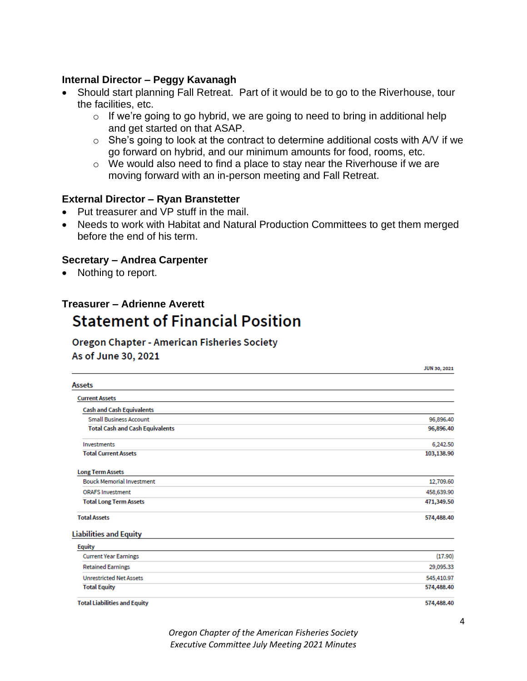#### **Internal Director – Peggy Kavanagh**

- Should start planning Fall Retreat. Part of it would be to go to the Riverhouse, tour the facilities, etc.
	- $\circ$  If we're going to go hybrid, we are going to need to bring in additional help and get started on that ASAP.
	- $\circ$  She's going to look at the contract to determine additional costs with A/V if we go forward on hybrid, and our minimum amounts for food, rooms, etc.
	- o We would also need to find a place to stay near the Riverhouse if we are moving forward with an in-person meeting and Fall Retreat.

#### **External Director – Ryan Branstetter**

- Put treasurer and VP stuff in the mail.
- Needs to work with Habitat and Natural Production Committees to get them merged before the end of his term.

#### **Secretary – Andrea Carpenter**

• Nothing to report.

# **Treasurer – Adrienne AverettStatement of Financial Position**

# **Oregon Chapter - American Fisheries Society**

As of June 30, 2021

|                                        | <b>JUN 30, 2021</b> |
|----------------------------------------|---------------------|
| <b>Assets</b>                          |                     |
| <b>Current Assets</b>                  |                     |
| <b>Cash and Cash Equivalents</b>       |                     |
| <b>Small Business Account</b>          | 96,896.40           |
| <b>Total Cash and Cash Equivalents</b> | 96,896.40           |
| Investments                            | 6,242.50            |
| <b>Total Current Assets</b>            | 103,138.90          |
| <b>Long Term Assets</b>                |                     |
| <b>Bouck Memorial Investment</b>       | 12,709.60           |
| <b>ORAFS Investment</b>                | 458,639.90          |
| <b>Total Long Term Assets</b>          | 471,349.50          |
| <b>Total Assets</b>                    | 574,488.40          |
| <b>Liabilities and Equity</b>          |                     |
| <b>Equity</b>                          |                     |
| <b>Current Year Earnings</b>           | (17.90)             |
| <b>Retained Earnings</b>               | 29,095.33           |
| <b>Unrestricted Net Assets</b>         | 545,410.97          |
| <b>Total Equity</b>                    | 574,488.40          |
| <b>Total Liabilities and Equity</b>    | 574,488.40          |